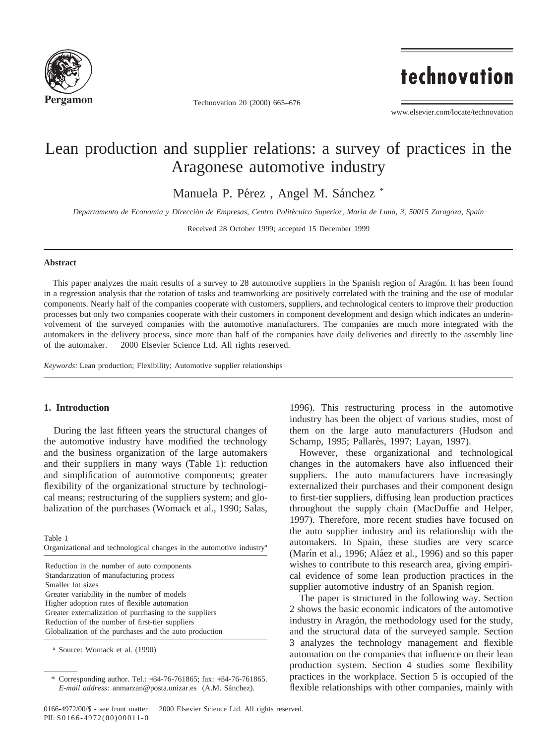

Technovation 20 (2000) 665–676

technovation

www.elsevier.com/locate/technovation

# Lean production and supplier relations: a survey of practices in the Aragonese automotive industry

Manuela P. Pérez, Angel M. Sánchez<sup>\*</sup>

*Departamento de Economı´a y Direccio´n de Empresas, Centro Polite´cnico Superior, Marı´a de Luna, 3, 50015 Zaragoza, Spain*

Received 28 October 1999; accepted 15 December 1999

#### **Abstract**

This paper analyzes the main results of a survey to 28 automotive suppliers in the Spanish region of Aragón. It has been found in a regression analysis that the rotation of tasks and teamworking are positively correlated with the training and the use of modular components. Nearly half of the companies cooperate with customers, suppliers, and technological centers to improve their production processes but only two companies cooperate with their customers in component development and design which indicates an underinvolvement of the surveyed companies with the automotive manufacturers. The companies are much more integrated with the automakers in the delivery process, since more than half of the companies have daily deliveries and directly to the assembly line of the automaker.  $© 2000$  Elsevier Science Ltd. All rights reserved.

*Keywords:* Lean production; Flexibility; Automotive supplier relationships

## **1. Introduction**

During the last fifteen years the structural changes of the automotive industry have modified the technology and the business organization of the large automakers and their suppliers in many ways (Table 1): reduction and simplification of automotive components; greater flexibility of the organizational structure by technological means; restructuring of the suppliers system; and globalization of the purchases (Womack et al., 1990; Salas,

Table 1

Organizational and technological changes in the automotive industrya

Reduction in the number of auto components Standarization of manufacturing process Smaller lot sizes Greater variability in the number of models Higher adoption rates of flexible automation Greater externalization of purchasing to the suppliers Reduction of the number of first-tier suppliers Globalization of the purchases and the auto production

<sup>a</sup> Source: Womack et al. (1990)

1996). This restructuring process in the automotive industry has been the object of various studies, most of them on the large auto manufacturers (Hudson and Schamp, 1995; Pallarès, 1997; Layan, 1997).

However, these organizational and technological changes in the automakers have also influenced their suppliers. The auto manufacturers have increasingly externalized their purchases and their component design to first-tier suppliers, diffusing lean production practices throughout the supply chain (MacDuffie and Helper, 1997). Therefore, more recent studies have focused on the auto supplier industry and its relationship with the automakers. In Spain, these studies are very scarce (Marín et al., 1996; Aláez et al., 1996) and so this paper wishes to contribute to this research area, giving empirical evidence of some lean production practices in the supplier automotive industry of an Spanish region.

The paper is structured in the following way. Section 2 shows the basic economic indicators of the automotive industry in Aragón, the methodology used for the study, and the structural data of the surveyed sample. Section 3 analyzes the technology management and flexible automation on the companies that influence on their lean production system. Section 4 studies some flexibility practices in the workplace. Section 5 is occupied of the flexible relationships with other companies, mainly with

Corresponding author. Tel.: +34-76-761865; fax: +34-76-761865. *E-mail address:* anmarzan@posta.unizar.es (A.M. Sánchez).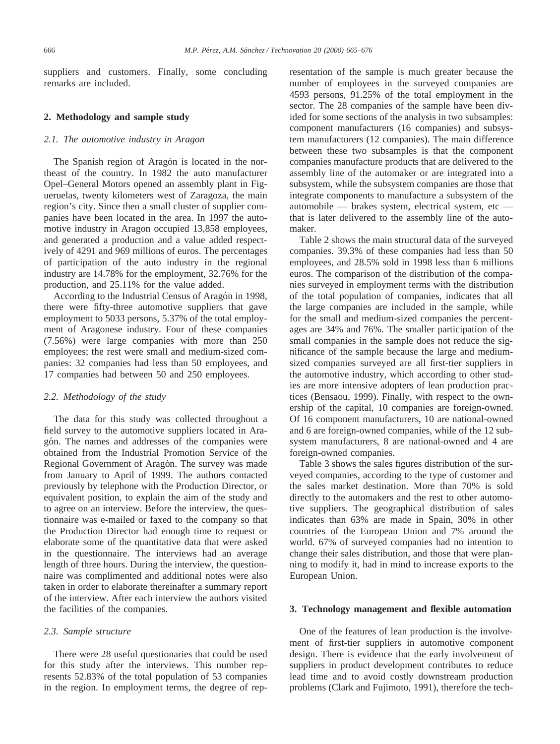suppliers and customers. Finally, some concluding remarks are included.

## **2. Methodology and sample study**

### *2.1. The automotive industry in Aragon*

The Spanish region of Aragón is located in the northeast of the country. In 1982 the auto manufacturer Opel–General Motors opened an assembly plant in Figueruelas, twenty kilometers west of Zaragoza, the main region's city. Since then a small cluster of supplier companies have been located in the area. In 1997 the automotive industry in Aragon occupied 13,858 employees, and generated a production and a value added respectively of 4291 and 969 millions of euros. The percentages of participation of the auto industry in the regional industry are 14.78% for the employment, 32.76% for the production, and 25.11% for the value added.

According to the Industrial Census of Aragón in 1998, there were fifty-three automotive suppliers that gave employment to 5033 persons, 5.37% of the total employment of Aragonese industry. Four of these companies (7.56%) were large companies with more than 250 employees; the rest were small and medium-sized companies: 32 companies had less than 50 employees, and 17 companies had between 50 and 250 employees.

#### *2.2. Methodology of the study*

The data for this study was collected throughout a field survey to the automotive suppliers located in Aragón. The names and addresses of the companies were obtained from the Industrial Promotion Service of the Regional Government of Aragón. The survey was made from January to April of 1999. The authors contacted previously by telephone with the Production Director, or equivalent position, to explain the aim of the study and to agree on an interview. Before the interview, the questionnaire was e-mailed or faxed to the company so that the Production Director had enough time to request or elaborate some of the quantitative data that were asked in the questionnaire. The interviews had an average length of three hours. During the interview, the questionnaire was complimented and additional notes were also taken in order to elaborate thereinafter a summary report of the interview. After each interview the authors visited the facilities of the companies.

### *2.3. Sample structure*

There were 28 useful questionaries that could be used for this study after the interviews. This number represents 52.83% of the total population of 53 companies in the region. In employment terms, the degree of representation of the sample is much greater because the number of employees in the surveyed companies are 4593 persons, 91.25% of the total employment in the sector. The 28 companies of the sample have been divided for some sections of the analysis in two subsamples: component manufacturers (16 companies) and subsystem manufacturers (12 companies). The main difference between these two subsamples is that the component companies manufacture products that are delivered to the assembly line of the automaker or are integrated into a subsystem, while the subsystem companies are those that integrate components to manufacture a subsystem of the automobile — brakes system, electrical system, etc that is later delivered to the assembly line of the automaker.

Table 2 shows the main structural data of the surveyed companies. 39.3% of these companies had less than 50 employees, and 28.5% sold in 1998 less than 6 millions euros. The comparison of the distribution of the companies surveyed in employment terms with the distribution of the total population of companies, indicates that all the large companies are included in the sample, while for the small and medium-sized companies the percentages are 34% and 76%. The smaller participation of the small companies in the sample does not reduce the significance of the sample because the large and mediumsized companies surveyed are all first-tier suppliers in the automotive industry, which according to other studies are more intensive adopters of lean production practices (Bensaou, 1999). Finally, with respect to the ownership of the capital, 10 companies are foreign-owned. Of 16 component manufacturers, 10 are national-owned and 6 are foreign-owned companies, while of the 12 subsystem manufacturers, 8 are national-owned and 4 are foreign-owned companies.

Table 3 shows the sales figures distribution of the surveyed companies, according to the type of customer and the sales market destination. More than 70% is sold directly to the automakers and the rest to other automotive suppliers. The geographical distribution of sales indicates than 63% are made in Spain, 30% in other countries of the European Union and 7% around the world. 67% of surveyed companies had no intention to change their sales distribution, and those that were planning to modify it, had in mind to increase exports to the European Union.

### **3. Technology management and flexible automation**

One of the features of lean production is the involvement of first-tier suppliers in automotive component design. There is evidence that the early involvement of suppliers in product development contributes to reduce lead time and to avoid costly downstream production problems (Clark and Fujimoto, 1991), therefore the tech-